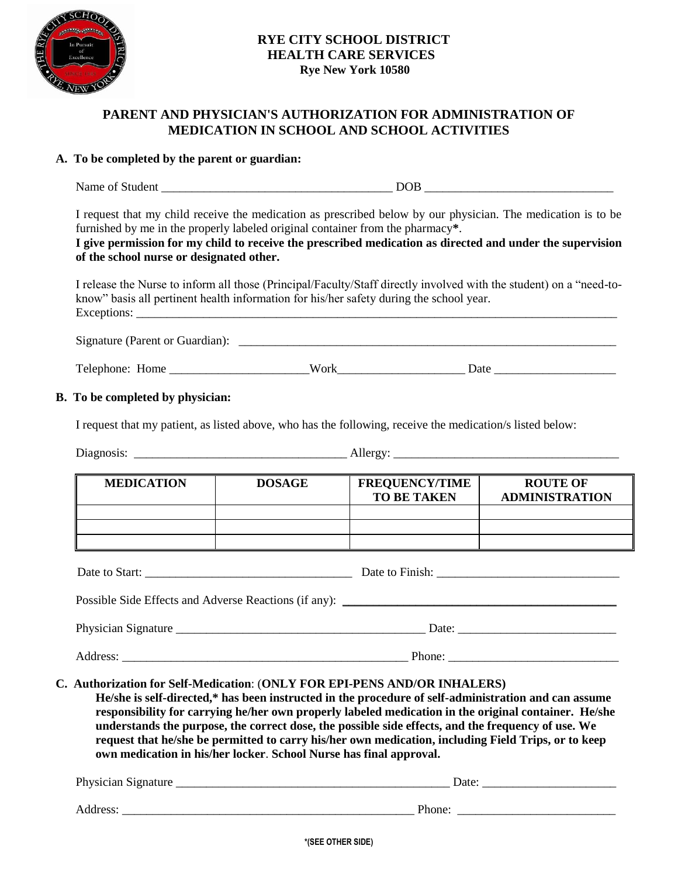

## **RYE CITY SCHOOL DISTRICT HEALTH CARE SERVICES Rye New York 10580**

# **PARENT AND PHYSICIAN'S AUTHORIZATION FOR ADMINISTRATION OF MEDICATION IN SCHOOL AND SCHOOL ACTIVITIES**

### **A. To be completed by the parent or guardian:**

Name of Student \_\_\_\_\_\_\_\_\_\_\_\_\_\_\_\_\_\_\_\_\_\_\_\_\_\_\_\_\_\_\_\_\_\_\_\_\_\_ DOB \_\_\_\_\_\_\_\_\_\_\_\_\_\_\_\_\_\_\_\_\_\_\_\_\_\_\_\_\_\_\_

I request that my child receive the medication as prescribed below by our physician. The medication is to be furnished by me in the properly labeled original container from the pharmacy**\***.

#### **I give permission for my child to receive the prescribed medication as directed and under the supervision of the school nurse or designated other.**

I release the Nurse to inform all those (Principal/Faculty/Staff directly involved with the student) on a "need-toknow" basis all pertinent health information for his/her safety during the school year. Exceptions:

| Signature (Parent or Guardian): |  |
|---------------------------------|--|
|                                 |  |

Telephone: Home \_\_\_\_\_\_\_\_\_\_\_\_\_\_\_\_\_\_\_\_\_\_\_Work\_\_\_\_\_\_\_\_\_\_\_\_\_\_\_\_\_\_\_\_\_ Date \_\_\_\_\_\_\_\_\_\_\_\_\_\_\_\_\_\_\_\_

### **B. To be completed by physician:**

I request that my patient, as listed above, who has the following, receive the medication/s listed below:

| $\mathbf{r}$ | <b>CONT</b> |
|--------------|-------------|
| Diagnosis:   | ∴⊔erøv'     |
| -            | .           |
|              |             |

| <b>MEDICATION</b> | <b>DOSAGE</b> | <b>FREQUENCY/TIME</b><br><b>TO BE TAKEN</b> | <b>ROUTE OF</b><br><b>ADMINISTRATION</b> |
|-------------------|---------------|---------------------------------------------|------------------------------------------|
|                   |               |                                             |                                          |
|                   |               |                                             |                                          |
|                   |               |                                             |                                          |

| Date to Start:                                                                    | Date to Finish: |
|-----------------------------------------------------------------------------------|-----------------|
| Possible Side Effects and Adverse Reactions (if any): ___________________________ |                 |
| Physician Signature                                                               | Date:           |

Address: <u>Phone:</u> **Example 2.1 and 2.1 and 2.1 and 2.1 and 2.1 and 2.1 and 2.1 and 2.1 and 2.1 and 2.1 and 2.1 and 2.1 and 2.1 and 2.1 and 2.1 and 2.1 and 2.1 and 2.1 and 2.1 and 2.1 and 2.1 and 2.1 and 2.1 and 2.1 and 2.1** 

**C. Authorization for Self-Medication**: (**ONLY FOR EPI-PENS AND/OR INHALERS)**

**He/she is self-directed,\* has been instructed in the procedure of self-administration and can assume responsibility for carrying he/her own properly labeled medication in the original container. He/she understands the purpose, the correct dose, the possible side effects, and the frequency of use. We request that he/she be permitted to carry his/her own medication, including Field Trips, or to keep own medication in his/her locker**. **School Nurse has final approval.**

| Physician Signature | Date   |
|---------------------|--------|
|                     |        |
| Address:            | Phone. |